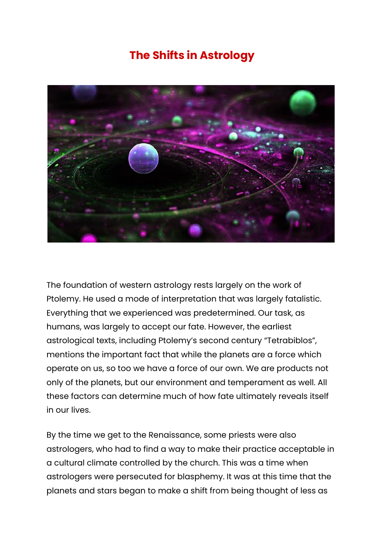## **The Shifts in Astrology**



The foundation of western astrology rests largely on the work of Ptolemy. He used a mode of interpretation that was largely fatalistic. Everything that we experienced was predetermined. Our task, as humans, was largely to accept our fate. However, the earliest astrological texts, including Ptolemy's second century "Tetrabiblos", mentions the important fact that while the planets are a force which operate on us, so too we have a force of our own. We are products not only of the planets, but our environment and temperament as well. All these factors can determine much of how fate ultimately reveals itself in our lives.

By the time we get to the Renaissance, some priests were also astrologers, who had to find a way to make their practice acceptable in a cultural climate controlled by the church. This was a time when astrologers were persecuted for blasphemy. It was at this time that the planets and stars began to make a shift from being thought of less as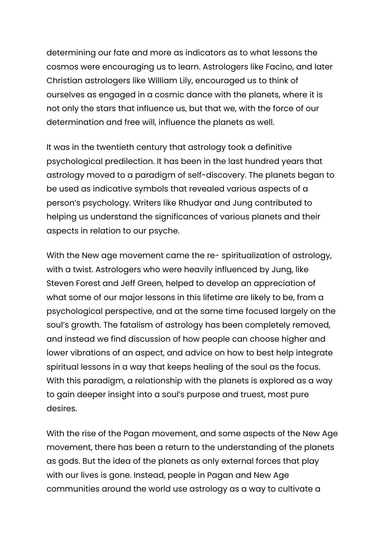determining our fate and more as indicators as to what lessons the cosmos were encouraging us to learn. Astrologers like Facino, and later Christian astrologers like William Lily, encouraged us to think of ourselves as engaged in a cosmic dance with the planets, where it is not only the stars that influence us, but that we, with the force of our determination and free will, influence the planets as well.

It was in the twentieth century that astrology took a definitive psychological predilection. It has been in the last hundred years that astrology moved to a paradigm of self-discovery. The planets began to be used as indicative symbols that revealed various aspects of a person's psychology. Writers like Rhudyar and Jung contributed to helping us understand the significances of various planets and their aspects in relation to our psyche.

With the New age movement came the re-spiritualization of astrology, with a twist. Astrologers who were heavily influenced by Jung, like Steven Forest and Jeff Green, helped to develop an appreciation of what some of our major lessons in this lifetime are likely to be, from a psychological perspective, and at the same time focused largely on the soul's growth. The fatalism of astrology has been completely removed, and instead we find discussion of how people can choose higher and lower vibrations of an aspect, and advice on how to best help integrate spiritual lessons in a way that keeps healing of the soul as the focus. With this paradigm, a relationship with the planets is explored as a way to gain deeper insight into a soul's purpose and truest, most pure desires.

With the rise of the Pagan movement, and some aspects of the New Age movement, there has been a return to the understanding of the planets as gods. But the idea of the planets as only external forces that play with our lives is gone. Instead, people in Pagan and New Age communities around the world use astrology as a way to cultivate a